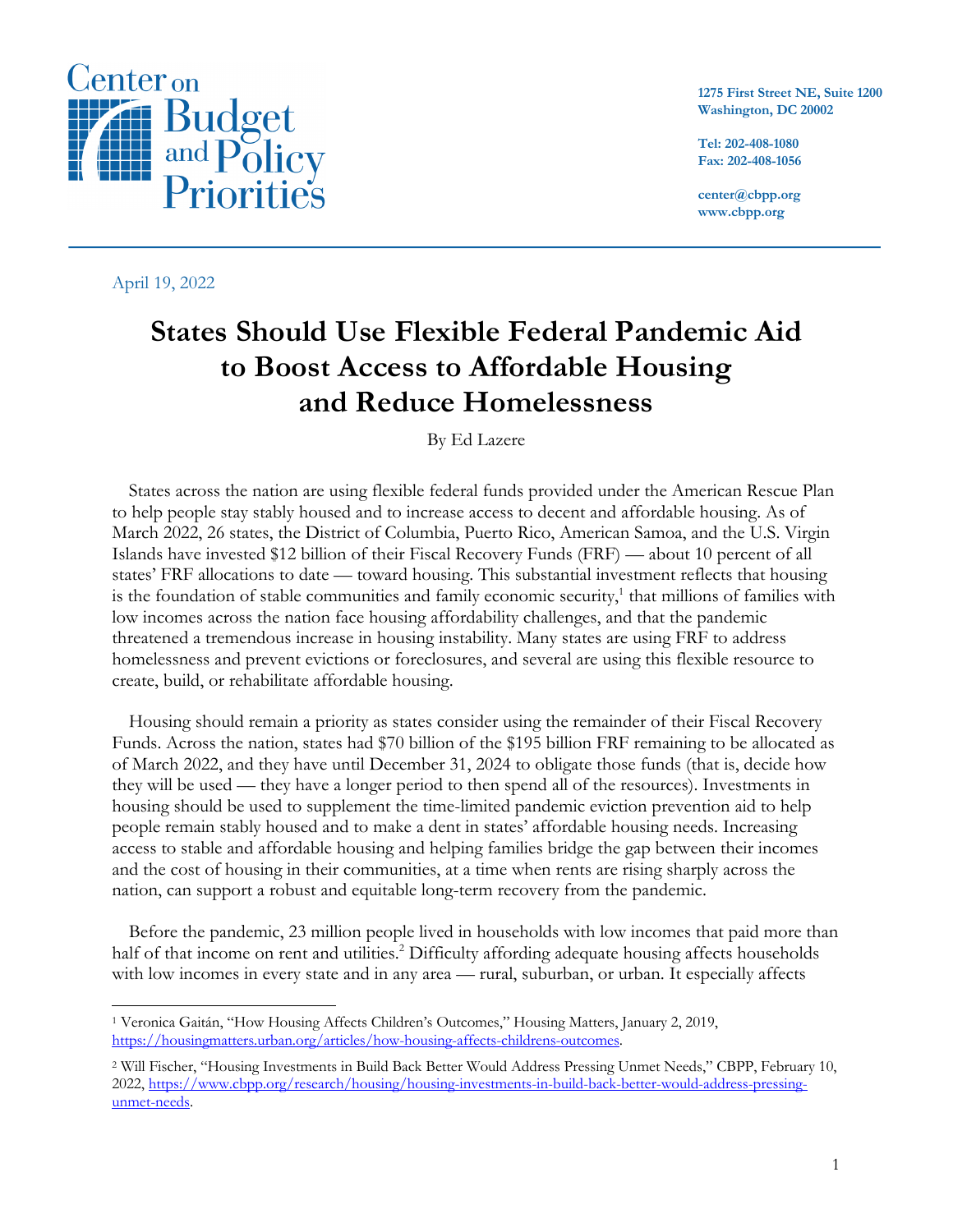

April 19, 2022

**1275 First Street NE, Suite 1200 Washington, DC 20002**

**Tel: 202-408-1080 Fax: 202-408-1056**

**center@cbpp.org www.cbpp.org**

# **States Should Use Flexible Federal Pandemic Aid to Boost Access to Affordable Housing and Reduce Homelessness**

By Ed Lazere

States across the nation are using flexible federal funds provided under the American Rescue Plan to help people stay stably housed and to increase access to decent and affordable housing. As of March 2022, 26 states, the District of Columbia, Puerto Rico, American Samoa, and the U.S. Virgin Islands have invested \$12 billion of their Fiscal Recovery Funds (FRF) — about 10 percent of all states' FRF allocations to date — toward housing. This substantial investment reflects that housing is the foundation of stable communities and family economic security, <sup>1</sup> that millions of families with low incomes across the nation face housing affordability challenges, and that the pandemic threatened a tremendous increase in housing instability. Many states are using FRF to address homelessness and prevent evictions or foreclosures, and several are using this flexible resource to create, build, or rehabilitate affordable housing.

Housing should remain a priority as states consider using the remainder of their Fiscal Recovery Funds. Across the nation, states had \$70 billion of the \$195 billion FRF remaining to be allocated as of March 2022, and they have until December 31, 2024 to obligate those funds (that is, decide how they will be used — they have a longer period to then spend all of the resources). Investments in housing should be used to supplement the time-limited pandemic eviction prevention aid to help people remain stably housed and to make a dent in states' affordable housing needs. Increasing access to stable and affordable housing and helping families bridge the gap between their incomes and the cost of housing in their communities, at a time when rents are rising sharply across the nation, can support a robust and equitable long-term recovery from the pandemic.

Before the pandemic, 23 million people lived in households with low incomes that paid more than half of that income on rent and utilities.<sup>2</sup> Difficulty affording adequate housing affects households with low incomes in every state and in any area — rural, suburban, or urban. It especially affects

<sup>1</sup> Veronica Gaitán, "How Housing Affects Children's Outcomes," Housing Matters, January 2, 2019, https://housingmatters.urban.org/articles/how-housing-affects-childrens-outcomes.

<sup>2</sup> Will Fischer, "Housing Investments in Build Back Better Would Address Pressing Unmet Needs," CBPP, February 10, 2022, https://www.cbpp.org/research/housing/housing-investments-in-build-back-better-would-address-pressingunmet-needs.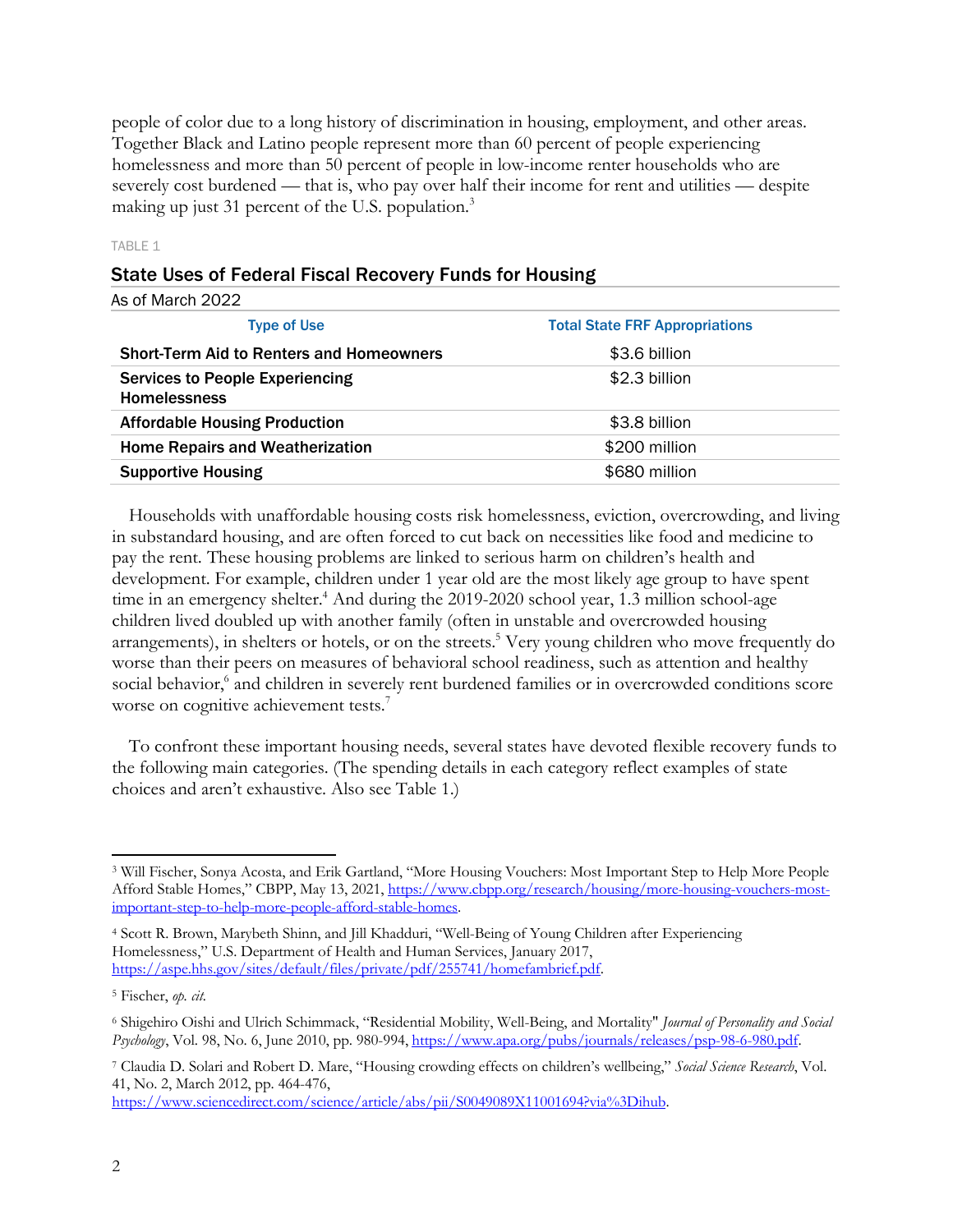people of color due to a long history of discrimination in housing, employment, and other areas. Together Black and Latino people represent more than 60 percent of people experiencing homelessness and more than 50 percent of people in low-income renter households who are severely cost burdened — that is, who pay over half their income for rent and utilities — despite making up just 31 percent of the U.S. population.<sup>3</sup>

#### TABLE 1

| <b>State Uses of Federal Fiscal Recovery Funds for Housing</b> |
|----------------------------------------------------------------|
|----------------------------------------------------------------|

| As of March 2022                                              |                                       |
|---------------------------------------------------------------|---------------------------------------|
| <b>Type of Use</b>                                            | <b>Total State FRF Appropriations</b> |
| <b>Short-Term Aid to Renters and Homeowners</b>               | \$3.6 billion                         |
| <b>Services to People Experiencing</b><br><b>Homelessness</b> | \$2.3 billion                         |
| <b>Affordable Housing Production</b>                          | \$3.8 billion                         |
| <b>Home Repairs and Weatherization</b>                        | \$200 million                         |
| <b>Supportive Housing</b>                                     | \$680 million                         |
|                                                               |                                       |

Households with unaffordable housing costs risk homelessness, eviction, overcrowding, and living in substandard housing, and are often forced to cut back on necessities like food and medicine to pay the rent. These housing problems are linked to serious harm on children's health and development. For example, children under 1 year old are the most likely age group to have spent time in an emergency shelter.<sup>4</sup> And during the 2019-2020 school year, 1.3 million school-age children lived doubled up with another family (often in unstable and overcrowded housing arrangements), in shelters or hotels, or on the streets.<sup>5</sup> Very young children who move frequently do worse than their peers on measures of behavioral school readiness, such as attention and healthy social behavior,<sup>6</sup> and children in severely rent burdened families or in overcrowded conditions score worse on cognitive achievement tests.<sup>7</sup>

To confront these important housing needs, several states have devoted flexible recovery funds to the following main categories. (The spending details in each category reflect examples of state choices and aren't exhaustive. Also see Table 1.)

https://www.sciencedirect.com/science/article/abs/pii/S0049089X11001694?via%3Dihub.

<sup>3</sup> Will Fischer, Sonya Acosta, and Erik Gartland, "More Housing Vouchers: Most Important Step to Help More People Afford Stable Homes," CBPP, May 13, 2021, https://www.cbpp.org/research/housing/more-housing-vouchers-mostimportant-step-to-help-more-people-afford-stable-homes.

<sup>4</sup> Scott R. Brown, Marybeth Shinn, and Jill Khadduri, "Well-Being of Young Children after Experiencing Homelessness," U.S. Department of Health and Human Services, January 2017, https://aspe.hhs.gov/sites/default/files/private/pdf/255741/homefambrief.pdf.

<sup>5</sup> Fischer, *op. cit.*

<sup>6</sup> Shigehiro Oishi and Ulrich Schimmack, "Residential Mobility, Well-Being, and Mortality" *Journal of Personality and Social Psychology*, Vol. 98, No. 6, June 2010, pp. 980-994, https://www.apa.org/pubs/journals/releases/psp-98-6-980.pdf.

<sup>7</sup> Claudia D. Solari and Robert D. Mare, "Housing crowding effects on children's wellbeing," *Social Science Research*, Vol. 41, No. 2, March 2012, pp. 464-476,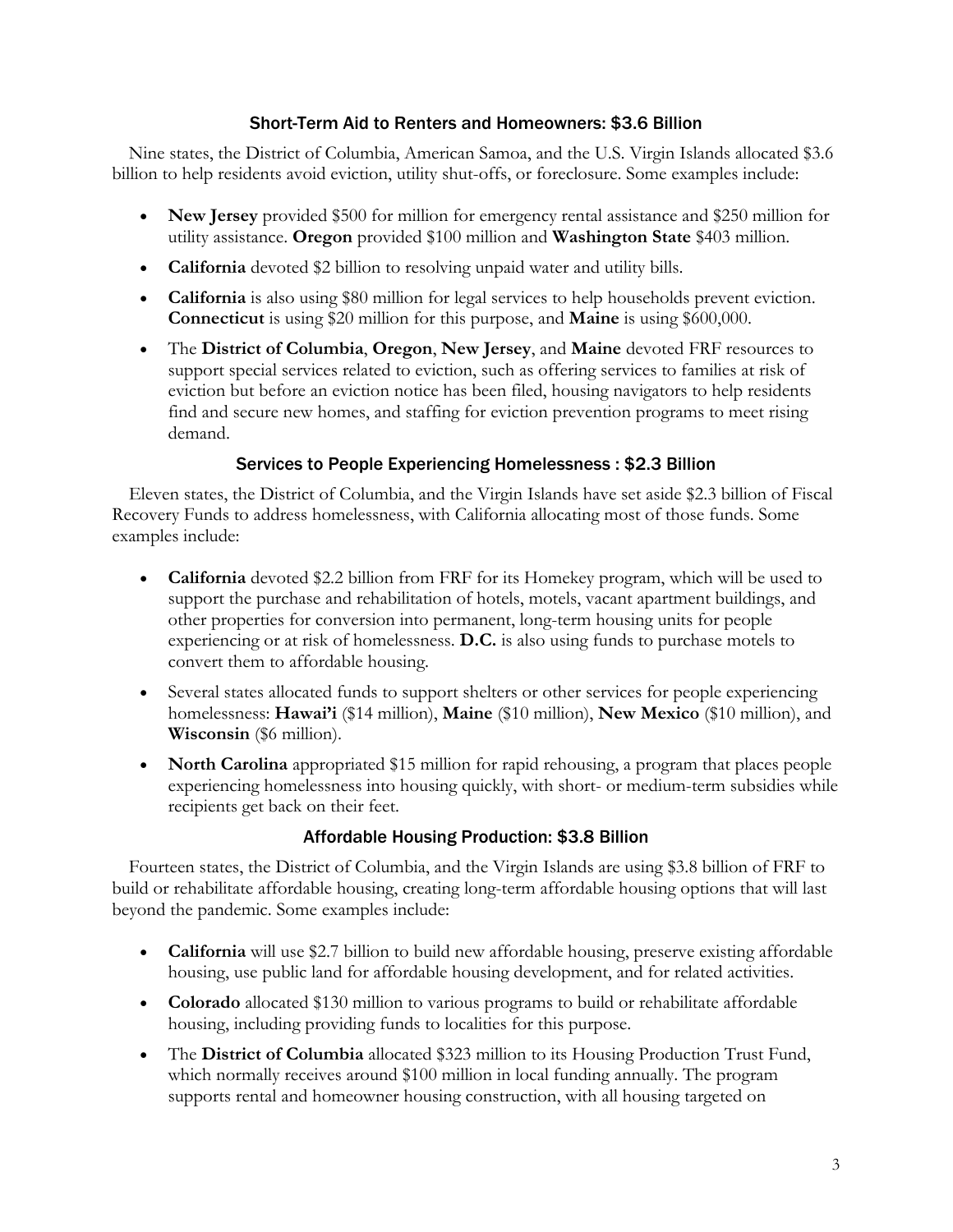### Short-Term Aid to Renters and Homeowners: \$3.6 Billion

Nine states, the District of Columbia, American Samoa, and the U.S. Virgin Islands allocated \$3.6 billion to help residents avoid eviction, utility shut-offs, or foreclosure. Some examples include:

- **New Jersey** provided \$500 for million for emergency rental assistance and \$250 million for utility assistance. **Oregon** provided \$100 million and **Washington State** \$403 million.
- **California** devoted \$2 billion to resolving unpaid water and utility bills.
- **California** is also using \$80 million for legal services to help households prevent eviction. **Connecticut** is using \$20 million for this purpose, and **Maine** is using \$600,000.
- The **District of Columbia**, **Oregon**, **New Jersey**, and **Maine** devoted FRF resources to support special services related to eviction, such as offering services to families at risk of eviction but before an eviction notice has been filed, housing navigators to help residents find and secure new homes, and staffing for eviction prevention programs to meet rising demand.

### Services to People Experiencing Homelessness : \$2.3 Billion

Eleven states, the District of Columbia, and the Virgin Islands have set aside \$2.3 billion of Fiscal Recovery Funds to address homelessness, with California allocating most of those funds. Some examples include:

- **California** devoted \$2.2 billion from FRF for its Homekey program, which will be used to support the purchase and rehabilitation of hotels, motels, vacant apartment buildings, and other properties for conversion into permanent, long-term housing units for people experiencing or at risk of homelessness. **D.C.** is also using funds to purchase motels to convert them to affordable housing.
- Several states allocated funds to support shelters or other services for people experiencing homelessness: **Hawai'i** (\$14 million), **Maine** (\$10 million), **New Mexico** (\$10 million), and **Wisconsin** (\$6 million).
- **North Carolina** appropriated \$15 million for rapid rehousing, a program that places people experiencing homelessness into housing quickly, with short- or medium-term subsidies while recipients get back on their feet.

#### Affordable Housing Production: \$3.8 Billion

Fourteen states, the District of Columbia, and the Virgin Islands are using \$3.8 billion of FRF to build or rehabilitate affordable housing, creating long-term affordable housing options that will last beyond the pandemic. Some examples include:

- **California** will use \$2.7 billion to build new affordable housing, preserve existing affordable housing, use public land for affordable housing development, and for related activities.
- **Colorado** allocated \$130 million to various programs to build or rehabilitate affordable housing, including providing funds to localities for this purpose.
- The **District of Columbia** allocated \$323 million to its Housing Production Trust Fund, which normally receives around \$100 million in local funding annually. The program supports rental and homeowner housing construction, with all housing targeted on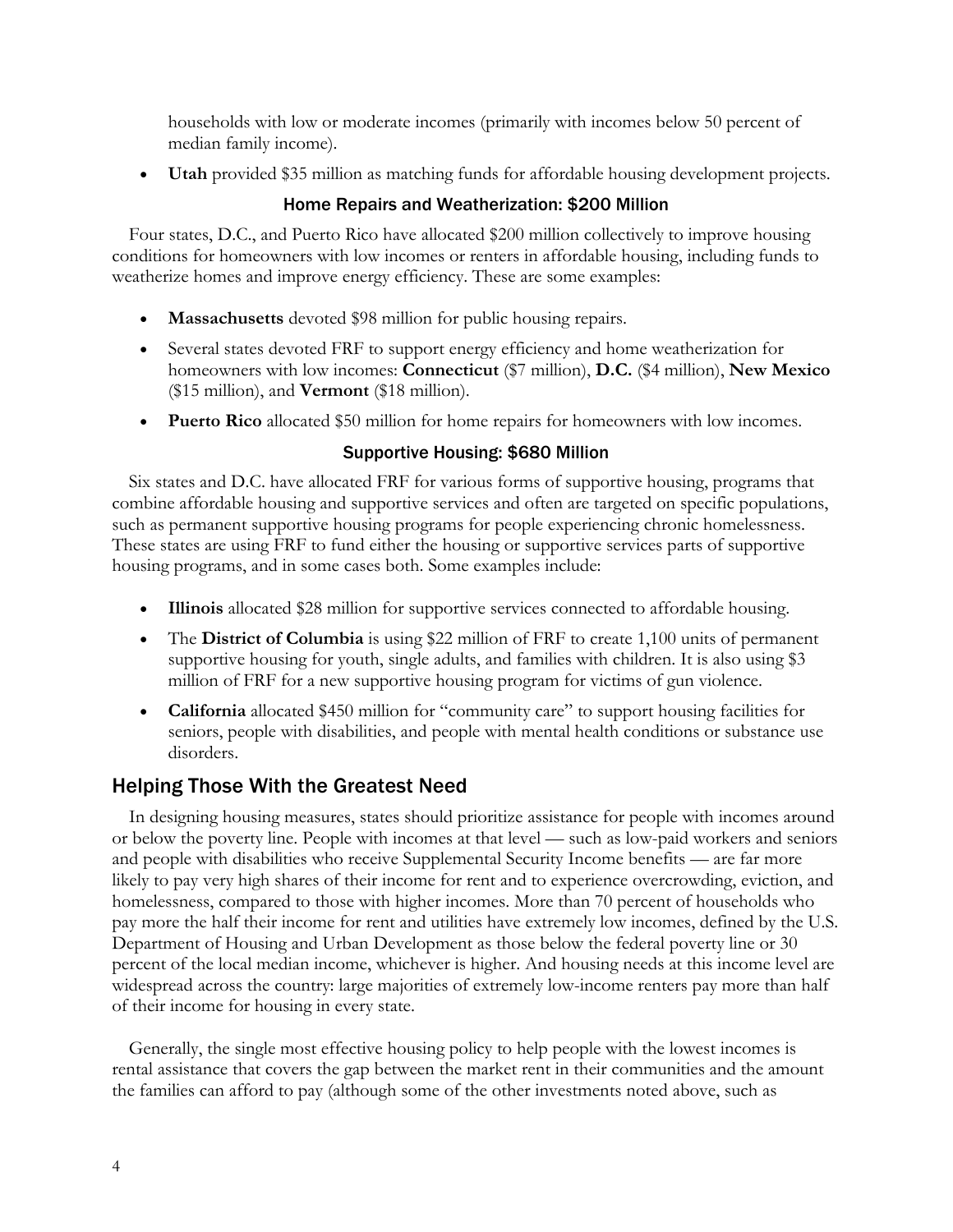households with low or moderate incomes (primarily with incomes below 50 percent of median family income).

• **Utah** provided \$35 million as matching funds for affordable housing development projects.

#### Home Repairs and Weatherization: \$200 Million

Four states, D.C., and Puerto Rico have allocated \$200 million collectively to improve housing conditions for homeowners with low incomes or renters in affordable housing, including funds to weatherize homes and improve energy efficiency. These are some examples:

- **Massachusetts** devoted \$98 million for public housing repairs.
- Several states devoted FRF to support energy efficiency and home weatherization for homeowners with low incomes: **Connecticut** (\$7 million), **D.C.** (\$4 million), **New Mexico** (\$15 million), and **Vermont** (\$18 million).
- **Puerto Rico** allocated \$50 million for home repairs for homeowners with low incomes.

### Supportive Housing: \$680 Million

Six states and D.C. have allocated FRF for various forms of supportive housing, programs that combine affordable housing and supportive services and often are targeted on specific populations, such as permanent supportive housing programs for people experiencing chronic homelessness. These states are using FRF to fund either the housing or supportive services parts of supportive housing programs, and in some cases both. Some examples include:

- **Illinois** allocated \$28 million for supportive services connected to affordable housing.
- The **District of Columbia** is using \$22 million of FRF to create 1,100 units of permanent supportive housing for youth, single adults, and families with children. It is also using \$3 million of FRF for a new supportive housing program for victims of gun violence.
- **California** allocated \$450 million for "community care" to support housing facilities for seniors, people with disabilities, and people with mental health conditions or substance use disorders.

## Helping Those With the Greatest Need

In designing housing measures, states should prioritize assistance for people with incomes around or below the poverty line. People with incomes at that level — such as low-paid workers and seniors and people with disabilities who receive Supplemental Security Income benefits — are far more likely to pay very high shares of their income for rent and to experience overcrowding, eviction, and homelessness, compared to those with higher incomes. More than 70 percent of households who pay more the half their income for rent and utilities have extremely low incomes, defined by the U.S. Department of Housing and Urban Development as those below the federal poverty line or 30 percent of the local median income, whichever is higher. And housing needs at this income level are widespread across the country: large majorities of extremely low-income renters pay more than half of their income for housing in every state.

Generally, the single most effective housing policy to help people with the lowest incomes is rental assistance that covers the gap between the market rent in their communities and the amount the families can afford to pay (although some of the other investments noted above, such as